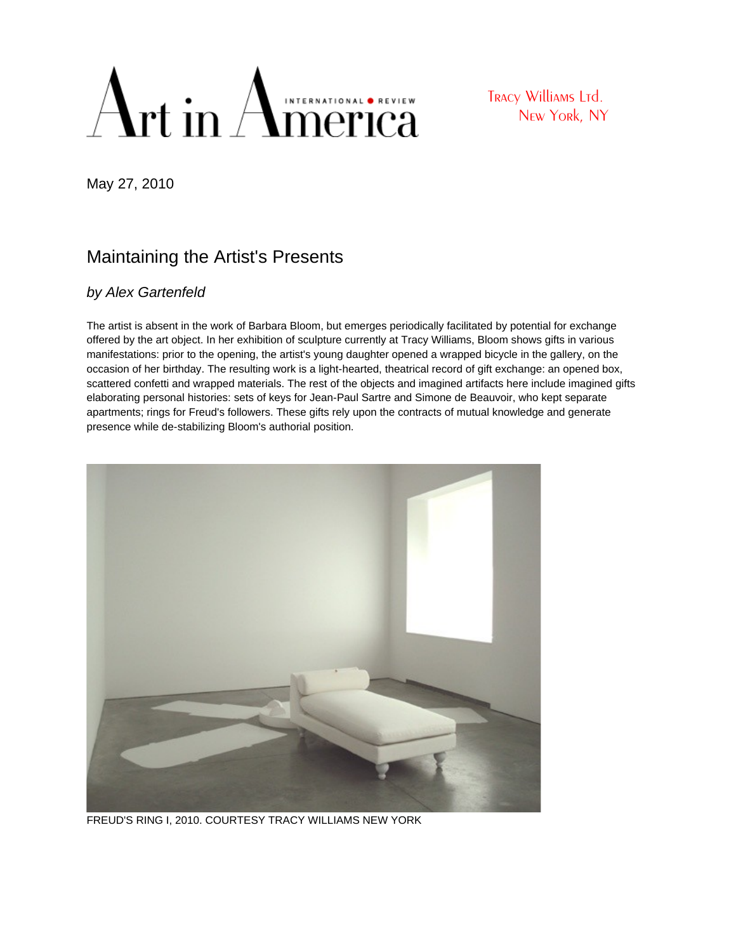## Art in American Creview

Tracy Williams Ltd. New York, NY

May 27, 2010

## Maintaining the Artist's Presents

## by [Alex Gartenfeld](http://www.artinamericamagazine.com/news-opinion/author/alex-gartenfeld/)

The artist is absent in the work of Barbara Bloom, but emerges periodically facilitated by potential for exchange offered by the art object. In her exhibition of sculpture currently at Tracy Williams, Bloom shows gifts in various manifestations: prior to the opening, the artist's young daughter opened a wrapped bicycle in the gallery, on the occasion of her birthday. The resulting work is a light-hearted, theatrical record of gift exchange: an opened box, scattered confetti and wrapped materials. The rest of the objects and imagined artifacts here include imagined gifts elaborating personal histories: sets of keys for Jean-Paul Sartre and Simone de Beauvoir, who kept separate apartments; rings for Freud's followers. These gifts rely upon the contracts of mutual knowledge and generate presence while de-stabilizing Bloom's authorial position.



FREUD'S RING I, 2010. COURTESY TRACY WILLIAMS NEW YORK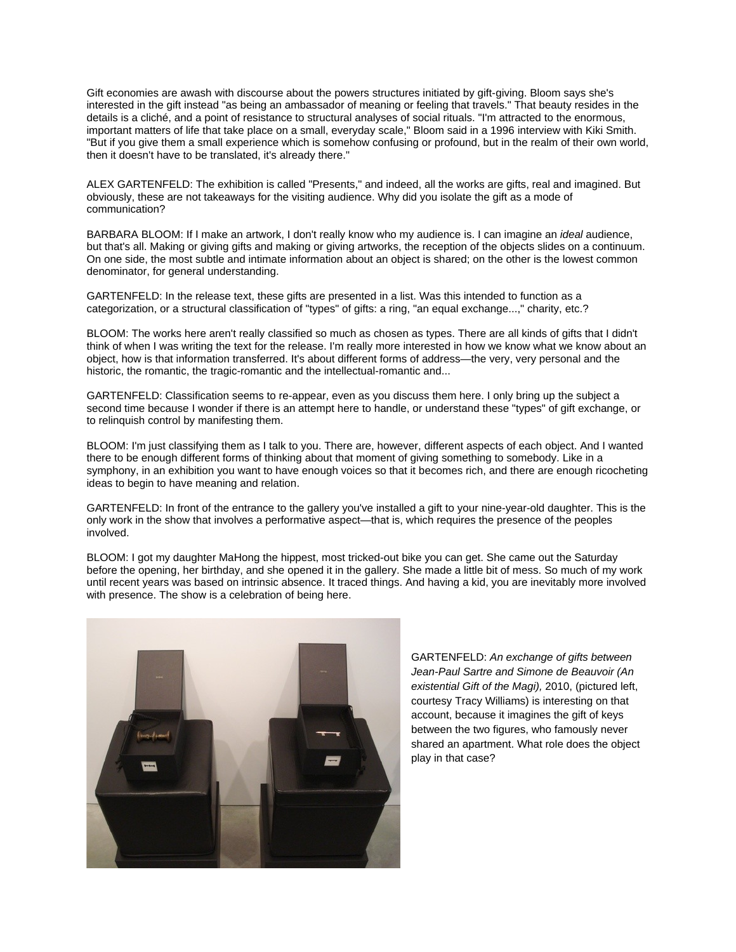Gift economies are awash with discourse about the powers structures initiated by gift-giving. Bloom says she's interested in the gift instead "as being an ambassador of meaning or feeling that travels." That beauty resides in the details is a cliché, and a point of resistance to structural analyses of social rituals. "I'm attracted to the enormous, important matters of life that take place on a small, everyday scale," Bloom said in a 1996 interview with Kiki Smith. "But if you give them a small experience which is somehow confusing or profound, but in the realm of their own world, then it doesn't have to be translated, it's already there."

ALEX GARTENFELD: The exhibition is called "Presents," and indeed, all the works are gifts, real and imagined. But obviously, these are not takeaways for the visiting audience. Why did you isolate the gift as a mode of communication?

BARBARA BLOOM: If I make an artwork, I don't really know who my audience is. I can imagine an ideal audience, but that's all. Making or giving gifts and making or giving artworks, the reception of the objects slides on a continuum. On one side, the most subtle and intimate information about an object is shared; on the other is the lowest common denominator, for general understanding.

GARTENFELD: In the release text, these gifts are presented in a list. Was this intended to function as a categorization, or a structural classification of "types" of gifts: a ring, "an equal exchange...," charity, etc.?

BLOOM: The works here aren't really classified so much as chosen as types. There are all kinds of gifts that I didn't think of when I was writing the text for the release. I'm really more interested in how we know what we know about an object, how is that information transferred. It's about different forms of address—the very, very personal and the historic, the romantic, the tragic-romantic and the intellectual-romantic and...

GARTENFELD: Classification seems to re-appear, even as you discuss them here. I only bring up the subject a second time because I wonder if there is an attempt here to handle, or understand these "types" of gift exchange, or to relinquish control by manifesting them.

BLOOM: I'm just classifying them as I talk to you. There are, however, different aspects of each object. And I wanted there to be enough different forms of thinking about that moment of giving something to somebody. Like in a symphony, in an exhibition you want to have enough voices so that it becomes rich, and there are enough ricocheting ideas to begin to have meaning and relation.

GARTENFELD: In front of the entrance to the gallery you've installed a gift to your nine-year-old daughter. This is the only work in the show that involves a performative aspect—that is, which requires the presence of the peoples involved.

BLOOM: I got my daughter MaHong the hippest, most tricked-out bike you can get. She came out the Saturday before the opening, her birthday, and she opened it in the gallery. She made a little bit of mess. So much of my work until recent years was based on intrinsic absence. It traced things. And having a kid, you are inevitably more involved with presence. The show is a celebration of being here.



GARTENFELD: An exchange of gifts between Jean-Paul Sartre and Simone de Beauvoir (An existential Gift of the Magi), 2010, (pictured left, courtesy Tracy Williams) is interesting on that account, because it imagines the gift of keys between the two figures, who famously never shared an apartment. What role does the object play in that case?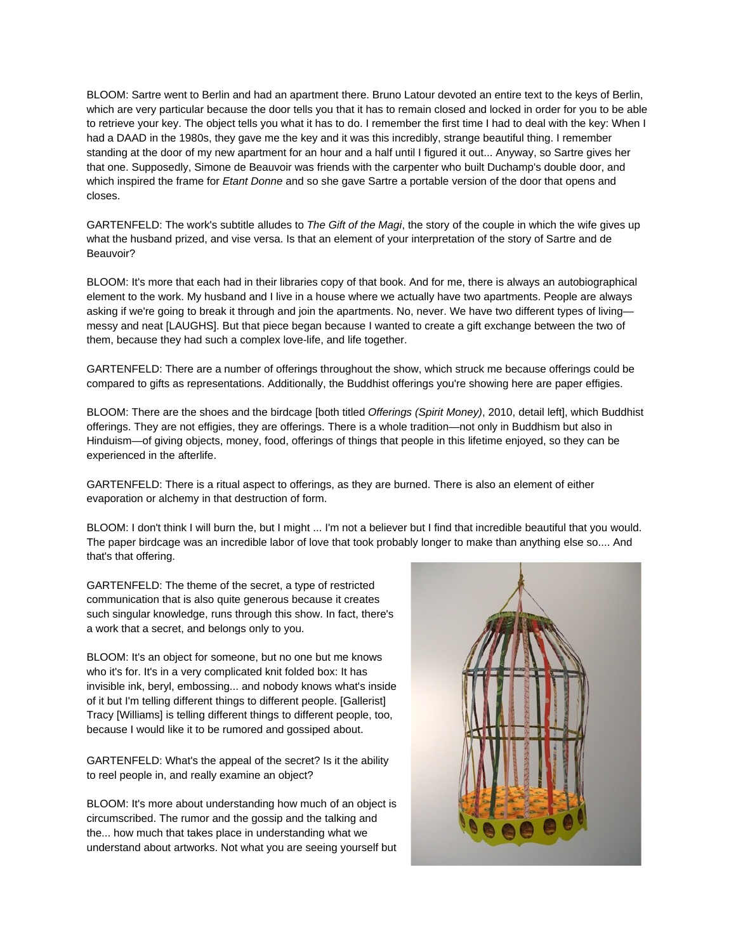BLOOM: Sartre went to Berlin and had an apartment there. Bruno Latour devoted an entire text to the keys of Berlin, which are very particular because the door tells you that it has to remain closed and locked in order for you to be able to retrieve your key. The object tells you what it has to do. I remember the first time I had to deal with the key: When I had a DAAD in the 1980s, they gave me the key and it was this incredibly, strange beautiful thing. I remember standing at the door of my new apartment for an hour and a half until I figured it out... Anyway, so Sartre gives her that one. Supposedly, Simone de Beauvoir was friends with the carpenter who built Duchamp's double door, and which inspired the frame for *Etant Donne* and so she gave Sartre a portable version of the door that opens and closes.

GARTENFELD: The work's subtitle alludes to The Gift of the Magi, the story of the couple in which the wife gives up what the husband prized, and vise versa. Is that an element of your interpretation of the story of Sartre and de Beauvoir?

BLOOM: It's more that each had in their libraries copy of that book. And for me, there is always an autobiographical element to the work. My husband and I live in a house where we actually have two apartments. People are always asking if we're going to break it through and join the apartments. No, never. We have two different types of living messy and neat [LAUGHS]. But that piece began because I wanted to create a gift exchange between the two of them, because they had such a complex love-life, and life together.

GARTENFELD: There are a number of offerings throughout the show, which struck me because offerings could be compared to gifts as representations. Additionally, the Buddhist offerings you're showing here are paper effigies.

BLOOM: There are the shoes and the birdcage [both titled Offerings (Spirit Money), 2010, detail left], which Buddhist offerings. They are not effigies, they are offerings. There is a whole tradition—not only in Buddhism but also in Hinduism—of giving objects, money, food, offerings of things that people in this lifetime enjoyed, so they can be experienced in the afterlife.

GARTENFELD: There is a ritual aspect to offerings, as they are burned. There is also an element of either evaporation or alchemy in that destruction of form.

BLOOM: I don't think I will burn the, but I might ... I'm not a believer but I find that incredible beautiful that you would. The paper birdcage was an incredible labor of love that took probably longer to make than anything else so.... And that's that offering.

GARTENFELD: The theme of the secret, a type of restricted communication that is also quite generous because it creates such singular knowledge, runs through this show. In fact, there's a work that a secret, and belongs only to you.

BLOOM: It's an object for someone, but no one but me knows who it's for. It's in a very complicated knit folded box: It has invisible ink, beryl, embossing... and nobody knows what's inside of it but I'm telling different things to different people. [Gallerist] Tracy [Williams] is telling different things to different people, too, because I would like it to be rumored and gossiped about.

GARTENFELD: What's the appeal of the secret? Is it the ability to reel people in, and really examine an object?

BLOOM: It's more about understanding how much of an object is circumscribed. The rumor and the gossip and the talking and the... how much that takes place in understanding what we understand about artworks. Not what you are seeing yourself but